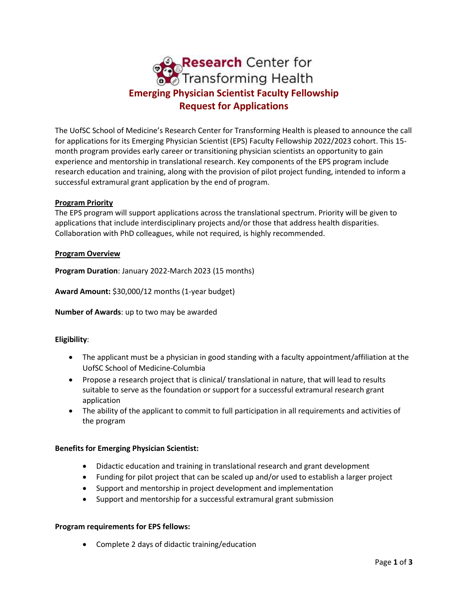

The UofSC School of Medicine's Research Center for Transforming Health is pleased to announce the call for applications for its Emerging Physician Scientist (EPS) Faculty Fellowship 2022/2023 cohort. This 15 month program provides early career or transitioning physician scientists an opportunity to gain experience and mentorship in translational research. Key components of the EPS program include research education and training, along with the provision of pilot project funding, intended to inform a successful extramural grant application by the end of program.

## **Program Priority**

The EPS program will support applications across the translational spectrum. Priority will be given to applications that include interdisciplinary projects and/or those that address health disparities. Collaboration with PhD colleagues, while not required, is highly recommended.

## **Program Overview**

**Program Duration**: January 2022-March 2023 (15 months)

**Award Amount:** \$30,000/12 months (1-year budget)

**Number of Awards**: up to two may be awarded

## **Eligibility**:

- The applicant must be a physician in good standing with a faculty appointment/affiliation at the UofSC School of Medicine-Columbia
- Propose a research project that is clinical/ translational in nature, that will lead to results suitable to serve as the foundation or support for a successful extramural research grant application
- The ability of the applicant to commit to full participation in all requirements and activities of the program

## **Benefits for Emerging Physician Scientist:**

- Didactic education and training in translational research and grant development
- Funding for pilot project that can be scaled up and/or used to establish a larger project
- Support and mentorship in project development and implementation
- Support and mentorship for a successful extramural grant submission

## **Program requirements for EPS fellows:**

• Complete 2 days of didactic training/education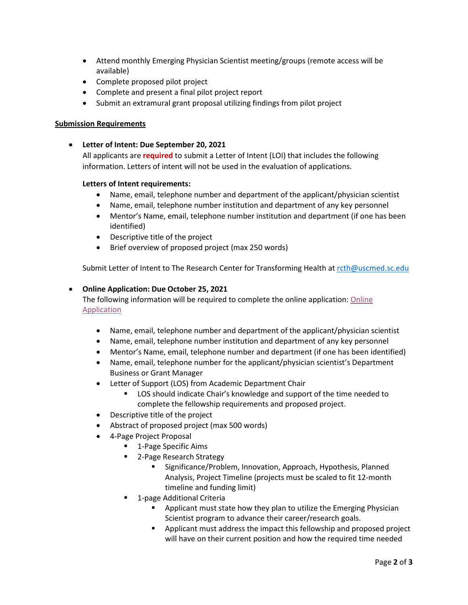- Attend monthly Emerging Physician Scientist meeting/groups (remote access will be available)
- Complete proposed pilot project
- Complete and present a final pilot project report
- Submit an extramural grant proposal utilizing findings from pilot project

# **Submission Requirements**

• **Letter of Intent: Due September 20, 2021**

All applicants are **required** to submit a Letter of Intent (LOI) that includes the following information. Letters of intent will not be used in the evaluation of applications.

# **Letters of Intent requirements:**

- Name, email, telephone number and department of the applicant/physician scientist
- Name, email, telephone number institution and department of any key personnel
- Mentor's Name, email, telephone number institution and department (if one has been identified)
- Descriptive title of the project
- Brief overview of proposed project (max 250 words)

Submit Letter of Intent to The Research Center for Transforming Health at [rcth@uscmed.sc.edu](mailto:rcth@uscmed.sc.edu)

# • **Online Application: Due October 25, 2021**

The following information will be required to complete the online application[: Online](https://redcap.healthsciencessc.org/surveys/?s=34XEWDRA8N)  **[Application](https://redcap.healthsciencessc.org/surveys/?s=34XEWDRA8N)** 

- Name, email, telephone number and department of the applicant/physician scientist
- Name, email, telephone number institution and department of any key personnel
- Mentor's Name, email, telephone number and department (if one has been identified)
- Name, email, telephone number for the applicant/physician scientist's Department Business or Grant Manager
- Letter of Support (LOS) from Academic Department Chair
	- LOS should indicate Chair's knowledge and support of the time needed to complete the fellowship requirements and proposed project.
- Descriptive title of the project
- Abstract of proposed project (max 500 words)
- 4-Page Project Proposal
	- 1-Page Specific Aims
	- 2-Page Research Strategy
		- Significance/Problem, Innovation, Approach, Hypothesis, Planned Analysis, Project Timeline (projects must be scaled to fit 12-month timeline and funding limit)
	- 1-page Additional Criteria
		- **•** Applicant must state how they plan to utilize the Emerging Physician Scientist program to advance their career/research goals.
		- **•** Applicant must address the impact this fellowship and proposed project will have on their current position and how the required time needed